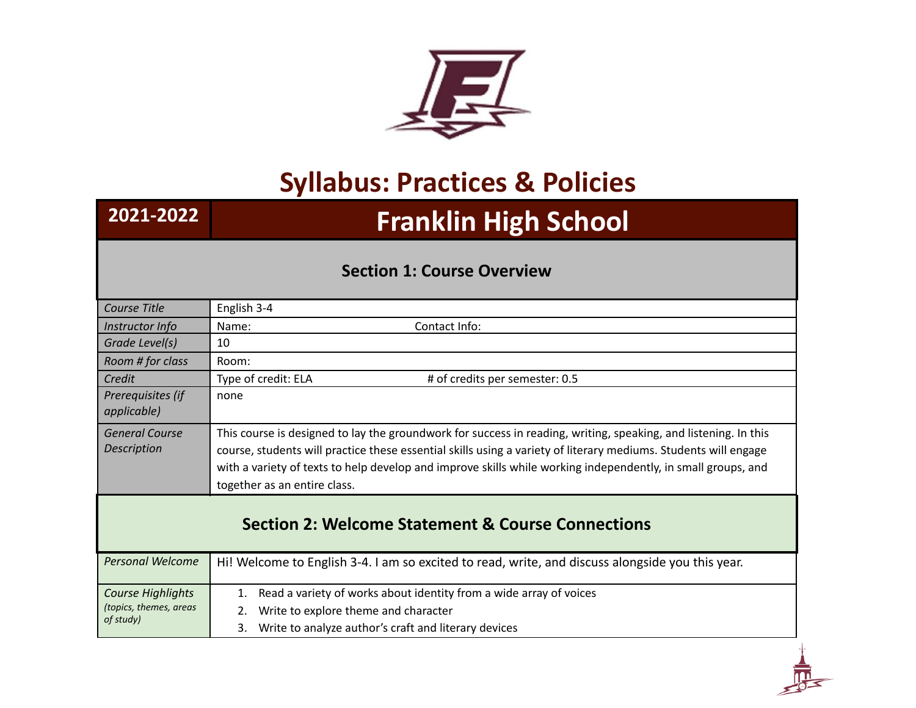

## **Syllabus: Practices & Policies**

## **2021-2022 Franklin High School**

## **Section 1: Course Overview**

| Course Title                                                 | English 3-4                                                                                                                                                                                                                                                                                                                                                                        |
|--------------------------------------------------------------|------------------------------------------------------------------------------------------------------------------------------------------------------------------------------------------------------------------------------------------------------------------------------------------------------------------------------------------------------------------------------------|
| Instructor Info                                              | Contact Info:<br>Name:                                                                                                                                                                                                                                                                                                                                                             |
| Grade Level(s)                                               | 10                                                                                                                                                                                                                                                                                                                                                                                 |
| Room # for class                                             | Room:                                                                                                                                                                                                                                                                                                                                                                              |
| Credit                                                       | Type of credit: ELA<br># of credits per semester: 0.5                                                                                                                                                                                                                                                                                                                              |
| Prerequisites (if<br>applicable)                             | none                                                                                                                                                                                                                                                                                                                                                                               |
| <b>General Course</b><br>Description                         | This course is designed to lay the groundwork for success in reading, writing, speaking, and listening. In this<br>course, students will practice these essential skills using a variety of literary mediums. Students will engage<br>with a variety of texts to help develop and improve skills while working independently, in small groups, and<br>together as an entire class. |
| <b>Section 2: Welcome Statement &amp; Course Connections</b> |                                                                                                                                                                                                                                                                                                                                                                                    |
| <b>Personal Welcome</b>                                      | Hi! Welcome to English 3-4. I am so excited to read, write, and discuss alongside you this year.                                                                                                                                                                                                                                                                                   |
| Course Highlights<br>(topics, themes, areas<br>of study)     | Read a variety of works about identity from a wide array of voices<br>1.                                                                                                                                                                                                                                                                                                           |
|                                                              | Write to explore theme and character<br>2.                                                                                                                                                                                                                                                                                                                                         |
|                                                              | Write to analyze author's craft and literary devices<br>3.                                                                                                                                                                                                                                                                                                                         |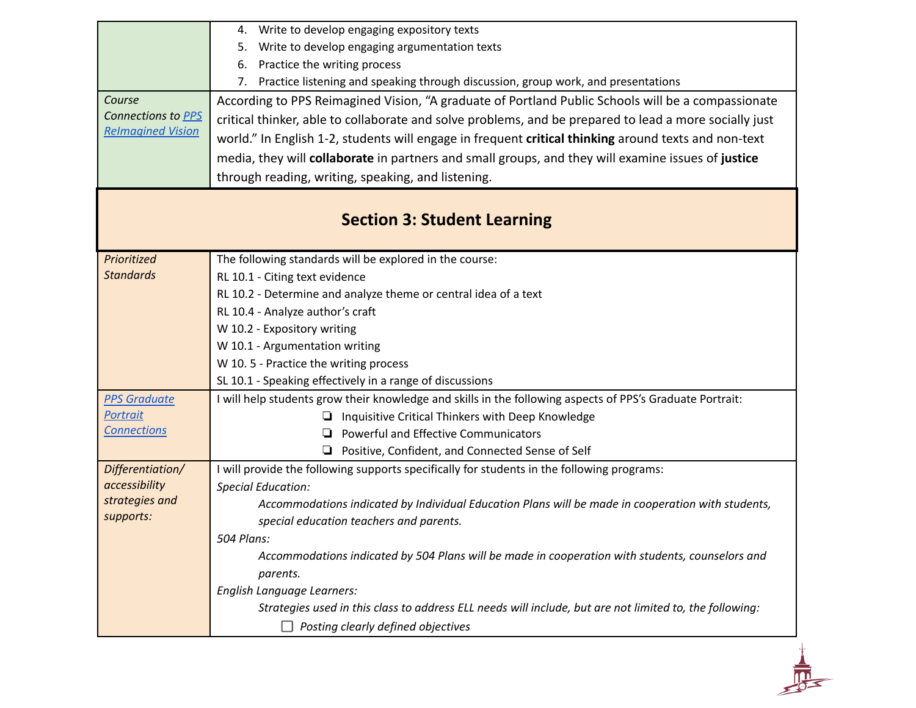|                             | Write to develop engaging expository texts<br>4.                                                                                                    |
|-----------------------------|-----------------------------------------------------------------------------------------------------------------------------------------------------|
|                             | Write to develop engaging argumentation texts<br>5.                                                                                                 |
|                             | Practice the writing process<br>6.                                                                                                                  |
|                             | 7. Practice listening and speaking through discussion, group work, and presentations                                                                |
| Course                      | According to PPS Reimagined Vision, "A graduate of Portland Public Schools will be a compassionate                                                  |
| Connections to PPS          | critical thinker, able to collaborate and solve problems, and be prepared to lead a more socially just                                              |
| <b>Relmagined Vision</b>    | world." In English 1-2, students will engage in frequent critical thinking around texts and non-text                                                |
|                             | media, they will collaborate in partners and small groups, and they will examine issues of justice                                                  |
|                             | through reading, writing, speaking, and listening.                                                                                                  |
|                             |                                                                                                                                                     |
|                             | <b>Section 3: Student Learning</b>                                                                                                                  |
| Prioritized                 | The following standards will be explored in the course:                                                                                             |
| <b>Standards</b>            | RL 10.1 - Citing text evidence                                                                                                                      |
|                             | RL 10.2 - Determine and analyze theme or central idea of a text                                                                                     |
|                             | RL 10.4 - Analyze author's craft                                                                                                                    |
|                             | W 10.2 - Expository writing                                                                                                                         |
|                             | W 10.1 - Argumentation writing                                                                                                                      |
|                             | W 10.5 - Practice the writing process                                                                                                               |
|                             | SL 10.1 - Speaking effectively in a range of discussions                                                                                            |
| <b>PPS Graduate</b>         | I will help students grow their knowledge and skills in the following aspects of PPS's Graduate Portrait:                                           |
| <b>Portrait</b>             | Inquisitive Critical Thinkers with Deep Knowledge                                                                                                   |
| <b>Connections</b>          | Powerful and Effective Communicators<br>o.                                                                                                          |
|                             | □ Positive, Confident, and Connected Sense of Self                                                                                                  |
| Differentiation/            | I will provide the following supports specifically for students in the following programs:                                                          |
| accessibility               | <b>Special Education:</b>                                                                                                                           |
| strategies and<br>supports: | Accommodations indicated by Individual Education Plans will be made in cooperation with students,                                                   |
|                             | special education teachers and parents.                                                                                                             |
|                             | 504 Plans:                                                                                                                                          |
|                             | Accommodations indicated by 504 Plans will be made in cooperation with students, counselors and                                                     |
|                             | parents.                                                                                                                                            |
|                             |                                                                                                                                                     |
|                             | English Language Learners:                                                                                                                          |
|                             | Strategies used in this class to address ELL needs will include, but are not limited to, the following:<br>Posting clearly defined objectives<br>ΙI |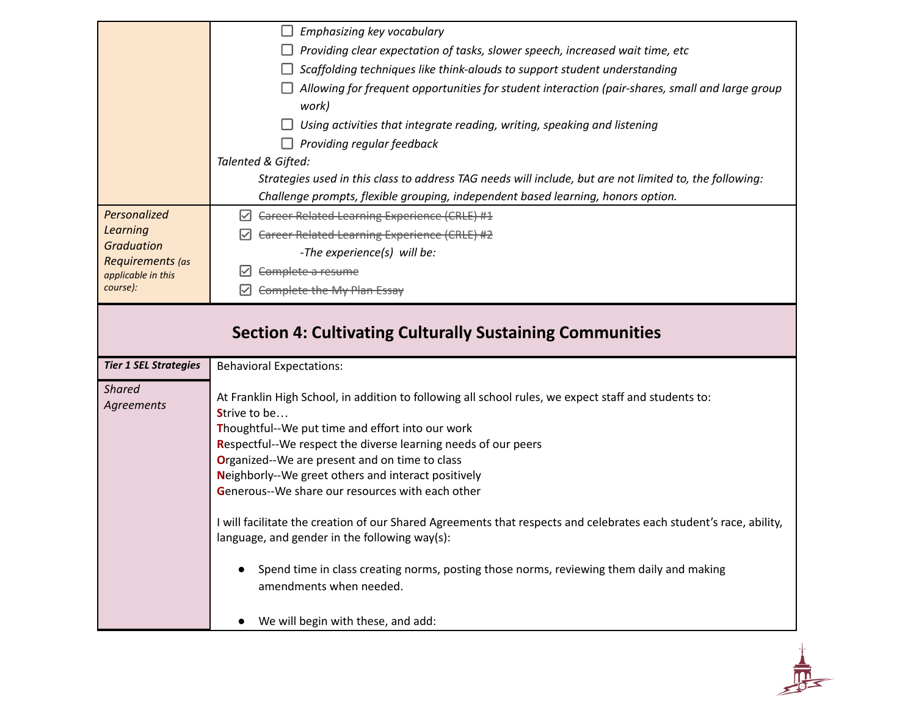|                                        | Emphasizing key vocabulary                                                                                                       |
|----------------------------------------|----------------------------------------------------------------------------------------------------------------------------------|
|                                        | Providing clear expectation of tasks, slower speech, increased wait time, etc                                                    |
|                                        | Scaffolding techniques like think-alouds to support student understanding                                                        |
|                                        | Allowing for frequent opportunities for student interaction (pair-shares, small and large group<br>work)                         |
|                                        | Using activities that integrate reading, writing, speaking and listening                                                         |
|                                        | Providing regular feedback                                                                                                       |
|                                        | Talented & Gifted:                                                                                                               |
|                                        | Strategies used in this class to address TAG needs will include, but are not limited to, the following:                          |
|                                        | Challenge prompts, flexible grouping, independent based learning, honors option.                                                 |
| Personalized                           | $\triangleright$ Career Related Learning Experience (CRLE) #1                                                                    |
| Learning                               | Career Related Learning Experience (CRLE) #2                                                                                     |
| <b>Graduation</b>                      | -The experience(s) will be:                                                                                                      |
| Requirements (as<br>applicable in this | Complete a resume                                                                                                                |
| course):                               | Complete the My Plan Essay                                                                                                       |
|                                        | <b>Section 4: Cultivating Culturally Sustaining Communities</b>                                                                  |
| <b>Tier 1 SEL Strategies</b>           | <b>Behavioral Expectations:</b>                                                                                                  |
| <b>Shared</b><br>Agreements            | At Franklin High School, in addition to following all school rules, we expect staff and students to:<br>Strive to be             |
|                                        | Thoughtful--We put time and effort into our work                                                                                 |
|                                        | Respectful--We respect the diverse learning needs of our peers                                                                   |
|                                        | Organized--We are present and on time to class                                                                                   |
|                                        | Neighborly--We greet others and interact positively<br>Generous--We share our resources with each other                          |
|                                        |                                                                                                                                  |
|                                        | I will facilitate the creation of our Shared Agreements that respects and celebrates each student's race, ability,               |
|                                        | language, and gender in the following way(s):                                                                                    |
|                                        |                                                                                                                                  |
|                                        | Spend time in class creating norms, posting those norms, reviewing them daily and making<br>$\bullet$<br>amendments when needed. |

 $\frac{1}{\sqrt{2}}$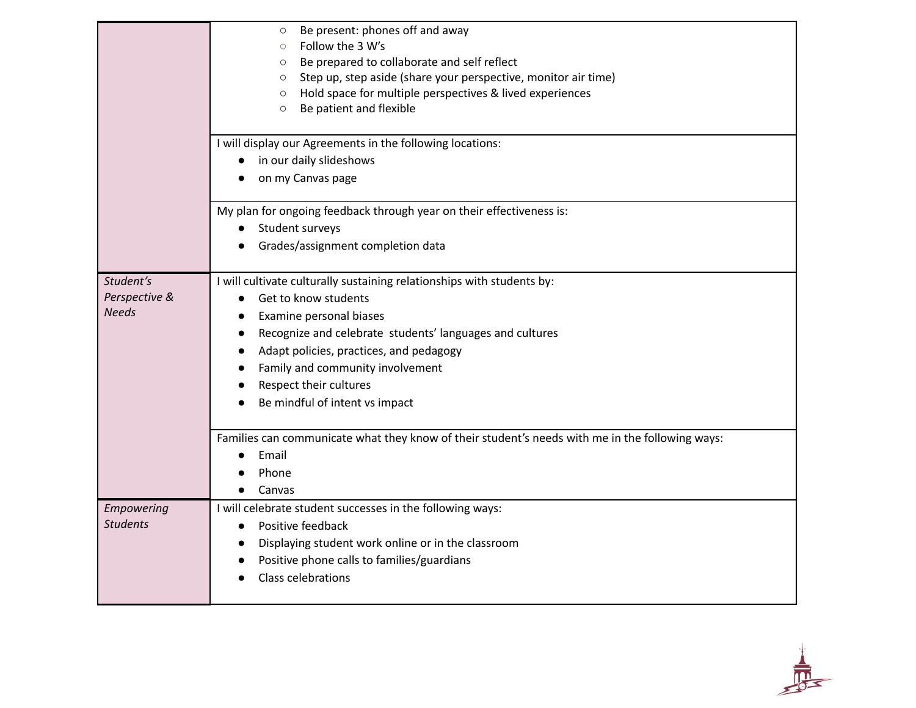|                                            | Be present: phones off and away<br>$\circ$<br>Follow the 3 W's<br>$\circ$<br>Be prepared to collaborate and self reflect<br>$\circ$<br>Step up, step aside (share your perspective, monitor air time)<br>$\circ$<br>Hold space for multiple perspectives & lived experiences<br>$\circ$<br>Be patient and flexible<br>$\circ$                                           |
|--------------------------------------------|-------------------------------------------------------------------------------------------------------------------------------------------------------------------------------------------------------------------------------------------------------------------------------------------------------------------------------------------------------------------------|
|                                            | I will display our Agreements in the following locations:<br>in our daily slideshows<br>on my Canvas page                                                                                                                                                                                                                                                               |
|                                            | My plan for ongoing feedback through year on their effectiveness is:<br>Student surveys<br>$\bullet$<br>Grades/assignment completion data                                                                                                                                                                                                                               |
| Student's<br>Perspective &<br><b>Needs</b> | I will cultivate culturally sustaining relationships with students by:<br>Get to know students<br>$\bullet$<br>Examine personal biases<br>$\bullet$<br>Recognize and celebrate students' languages and cultures<br>$\bullet$<br>Adapt policies, practices, and pedagogy<br>Family and community involvement<br>Respect their cultures<br>Be mindful of intent vs impact |
|                                            | Families can communicate what they know of their student's needs with me in the following ways:<br>Email<br>Phone<br>Canvas                                                                                                                                                                                                                                             |
| Empowering<br><b>Students</b>              | I will celebrate student successes in the following ways:<br>Positive feedback<br>$\bullet$<br>Displaying student work online or in the classroom<br>Positive phone calls to families/guardians<br>Class celebrations                                                                                                                                                   |

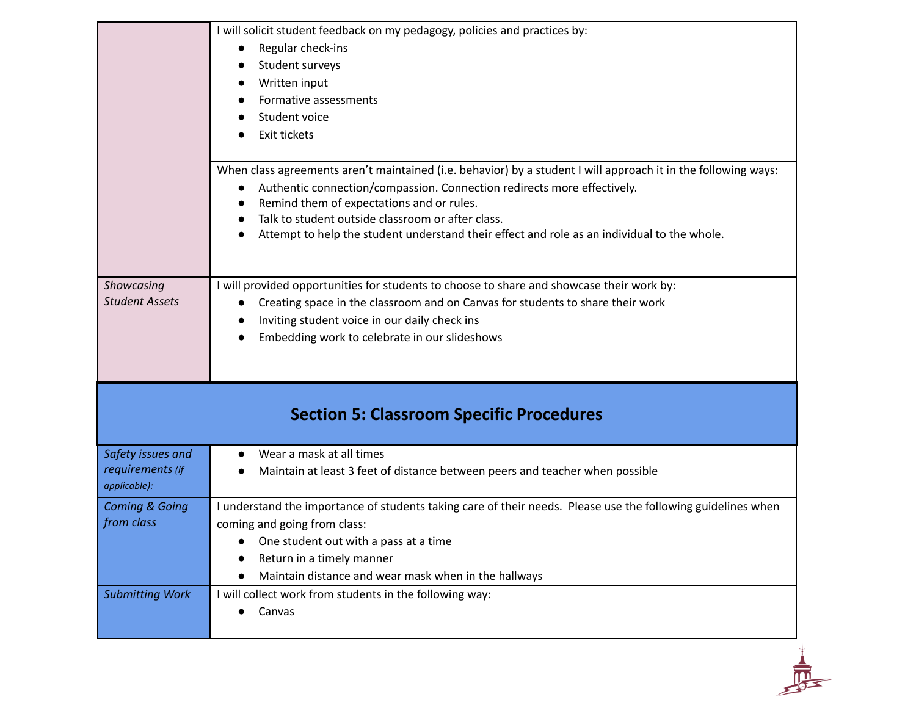| Regular check-ins<br>$\bullet$<br>Student surveys<br>Written input<br>Formative assessments<br>Student voice<br>Exit tickets<br>Authentic connection/compassion. Connection redirects more effectively.<br>Remind them of expectations and or rules.<br>Talk to student outside classroom or after class.<br>Attempt to help the student understand their effect and role as an individual to the whole.<br>I will provided opportunities for students to choose to share and showcase their work by:<br>Creating space in the classroom and on Canvas for students to share their work<br>$\bullet$<br>Inviting student voice in our daily check ins<br>Embedding work to celebrate in our slideshows<br><b>Section 5: Classroom Specific Procedures</b><br>Wear a mask at all times<br>$\bullet$<br>requirements (if<br>Maintain at least 3 feet of distance between peers and teacher when possible<br>coming and going from class:<br>One student out with a pass at a time<br>Return in a timely manner<br>Maintain distance and wear mask when in the hallways<br>I will collect work from students in the following way:<br>Canvas |  |  | I will solicit student feedback on my pedagogy, policies and practices by:                                     |
|-------------------------------------------------------------------------------------------------------------------------------------------------------------------------------------------------------------------------------------------------------------------------------------------------------------------------------------------------------------------------------------------------------------------------------------------------------------------------------------------------------------------------------------------------------------------------------------------------------------------------------------------------------------------------------------------------------------------------------------------------------------------------------------------------------------------------------------------------------------------------------------------------------------------------------------------------------------------------------------------------------------------------------------------------------------------------------------------------------------------------------------------|--|--|----------------------------------------------------------------------------------------------------------------|
| Showcasing<br><b>Student Assets</b><br>Safety issues and<br>applicable):<br><b>Coming &amp; Going</b><br>from class<br><b>Submitting Work</b>                                                                                                                                                                                                                                                                                                                                                                                                                                                                                                                                                                                                                                                                                                                                                                                                                                                                                                                                                                                             |  |  |                                                                                                                |
|                                                                                                                                                                                                                                                                                                                                                                                                                                                                                                                                                                                                                                                                                                                                                                                                                                                                                                                                                                                                                                                                                                                                           |  |  |                                                                                                                |
|                                                                                                                                                                                                                                                                                                                                                                                                                                                                                                                                                                                                                                                                                                                                                                                                                                                                                                                                                                                                                                                                                                                                           |  |  |                                                                                                                |
|                                                                                                                                                                                                                                                                                                                                                                                                                                                                                                                                                                                                                                                                                                                                                                                                                                                                                                                                                                                                                                                                                                                                           |  |  |                                                                                                                |
|                                                                                                                                                                                                                                                                                                                                                                                                                                                                                                                                                                                                                                                                                                                                                                                                                                                                                                                                                                                                                                                                                                                                           |  |  |                                                                                                                |
|                                                                                                                                                                                                                                                                                                                                                                                                                                                                                                                                                                                                                                                                                                                                                                                                                                                                                                                                                                                                                                                                                                                                           |  |  |                                                                                                                |
|                                                                                                                                                                                                                                                                                                                                                                                                                                                                                                                                                                                                                                                                                                                                                                                                                                                                                                                                                                                                                                                                                                                                           |  |  |                                                                                                                |
|                                                                                                                                                                                                                                                                                                                                                                                                                                                                                                                                                                                                                                                                                                                                                                                                                                                                                                                                                                                                                                                                                                                                           |  |  | When class agreements aren't maintained (i.e. behavior) by a student I will approach it in the following ways: |
|                                                                                                                                                                                                                                                                                                                                                                                                                                                                                                                                                                                                                                                                                                                                                                                                                                                                                                                                                                                                                                                                                                                                           |  |  |                                                                                                                |
|                                                                                                                                                                                                                                                                                                                                                                                                                                                                                                                                                                                                                                                                                                                                                                                                                                                                                                                                                                                                                                                                                                                                           |  |  |                                                                                                                |
|                                                                                                                                                                                                                                                                                                                                                                                                                                                                                                                                                                                                                                                                                                                                                                                                                                                                                                                                                                                                                                                                                                                                           |  |  |                                                                                                                |
|                                                                                                                                                                                                                                                                                                                                                                                                                                                                                                                                                                                                                                                                                                                                                                                                                                                                                                                                                                                                                                                                                                                                           |  |  |                                                                                                                |
|                                                                                                                                                                                                                                                                                                                                                                                                                                                                                                                                                                                                                                                                                                                                                                                                                                                                                                                                                                                                                                                                                                                                           |  |  |                                                                                                                |
|                                                                                                                                                                                                                                                                                                                                                                                                                                                                                                                                                                                                                                                                                                                                                                                                                                                                                                                                                                                                                                                                                                                                           |  |  |                                                                                                                |
|                                                                                                                                                                                                                                                                                                                                                                                                                                                                                                                                                                                                                                                                                                                                                                                                                                                                                                                                                                                                                                                                                                                                           |  |  |                                                                                                                |
|                                                                                                                                                                                                                                                                                                                                                                                                                                                                                                                                                                                                                                                                                                                                                                                                                                                                                                                                                                                                                                                                                                                                           |  |  |                                                                                                                |
|                                                                                                                                                                                                                                                                                                                                                                                                                                                                                                                                                                                                                                                                                                                                                                                                                                                                                                                                                                                                                                                                                                                                           |  |  |                                                                                                                |
|                                                                                                                                                                                                                                                                                                                                                                                                                                                                                                                                                                                                                                                                                                                                                                                                                                                                                                                                                                                                                                                                                                                                           |  |  |                                                                                                                |
|                                                                                                                                                                                                                                                                                                                                                                                                                                                                                                                                                                                                                                                                                                                                                                                                                                                                                                                                                                                                                                                                                                                                           |  |  |                                                                                                                |
|                                                                                                                                                                                                                                                                                                                                                                                                                                                                                                                                                                                                                                                                                                                                                                                                                                                                                                                                                                                                                                                                                                                                           |  |  |                                                                                                                |
|                                                                                                                                                                                                                                                                                                                                                                                                                                                                                                                                                                                                                                                                                                                                                                                                                                                                                                                                                                                                                                                                                                                                           |  |  | I understand the importance of students taking care of their needs. Please use the following guidelines when   |
|                                                                                                                                                                                                                                                                                                                                                                                                                                                                                                                                                                                                                                                                                                                                                                                                                                                                                                                                                                                                                                                                                                                                           |  |  |                                                                                                                |
|                                                                                                                                                                                                                                                                                                                                                                                                                                                                                                                                                                                                                                                                                                                                                                                                                                                                                                                                                                                                                                                                                                                                           |  |  |                                                                                                                |
|                                                                                                                                                                                                                                                                                                                                                                                                                                                                                                                                                                                                                                                                                                                                                                                                                                                                                                                                                                                                                                                                                                                                           |  |  |                                                                                                                |
|                                                                                                                                                                                                                                                                                                                                                                                                                                                                                                                                                                                                                                                                                                                                                                                                                                                                                                                                                                                                                                                                                                                                           |  |  |                                                                                                                |
|                                                                                                                                                                                                                                                                                                                                                                                                                                                                                                                                                                                                                                                                                                                                                                                                                                                                                                                                                                                                                                                                                                                                           |  |  |                                                                                                                |
|                                                                                                                                                                                                                                                                                                                                                                                                                                                                                                                                                                                                                                                                                                                                                                                                                                                                                                                                                                                                                                                                                                                                           |  |  |                                                                                                                |
|                                                                                                                                                                                                                                                                                                                                                                                                                                                                                                                                                                                                                                                                                                                                                                                                                                                                                                                                                                                                                                                                                                                                           |  |  |                                                                                                                |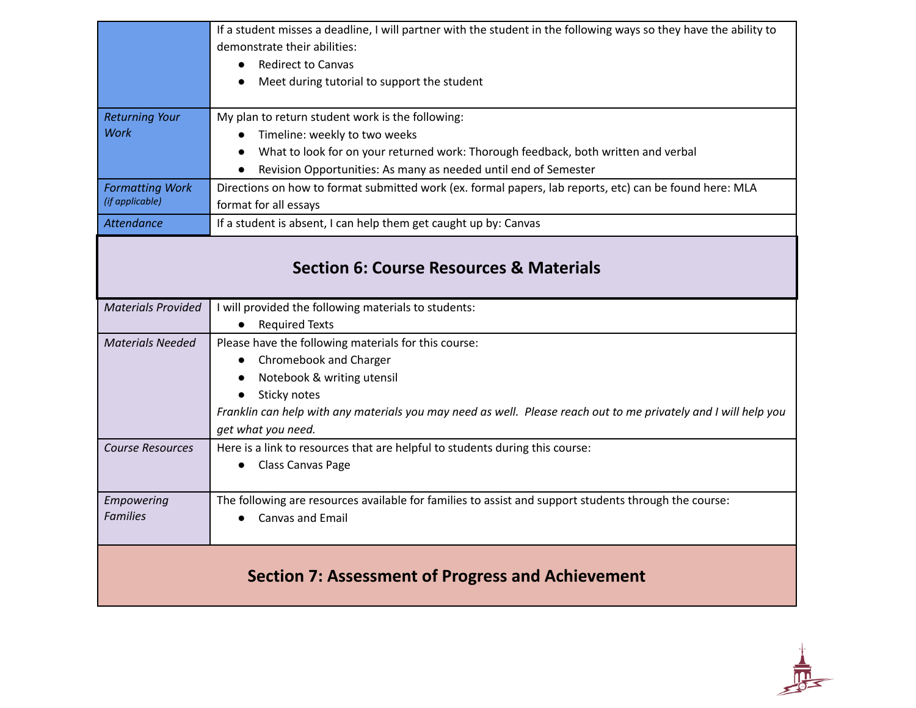|                                                    | If a student misses a deadline, I will partner with the student in the following ways so they have the ability to<br>demonstrate their abilities:<br><b>Redirect to Canvas</b><br>Meet during tutorial to support the student                                                                   |
|----------------------------------------------------|-------------------------------------------------------------------------------------------------------------------------------------------------------------------------------------------------------------------------------------------------------------------------------------------------|
| <b>Returning Your</b><br><b>Work</b>               | My plan to return student work is the following:<br>Timeline: weekly to two weeks<br>What to look for on your returned work: Thorough feedback, both written and verbal<br>Revision Opportunities: As many as needed until end of Semester                                                      |
| <b>Formatting Work</b><br>(if applicable)          | Directions on how to format submitted work (ex. formal papers, lab reports, etc) can be found here: MLA<br>format for all essays                                                                                                                                                                |
| <b>Attendance</b>                                  | If a student is absent, I can help them get caught up by: Canvas                                                                                                                                                                                                                                |
| <b>Section 6: Course Resources &amp; Materials</b> |                                                                                                                                                                                                                                                                                                 |
| <b>Materials Provided</b>                          | I will provided the following materials to students:<br>• Required Texts                                                                                                                                                                                                                        |
| <b>Materials Needed</b>                            | Please have the following materials for this course:<br>Chromebook and Charger<br>Notebook & writing utensil<br>$\bullet$<br>Sticky notes<br>$\bullet$<br>Franklin can help with any materials you may need as well. Please reach out to me privately and I will help you<br>get what you need. |
| <b>Course Resources</b>                            | Here is a link to resources that are helpful to students during this course:<br>• Class Canvas Page                                                                                                                                                                                             |
| Empowering<br><b>Families</b>                      | The following are resources available for families to assist and support students through the course:<br>Canvas and Email                                                                                                                                                                       |
| Section 7: Assessment of Progress and Achievement  |                                                                                                                                                                                                                                                                                                 |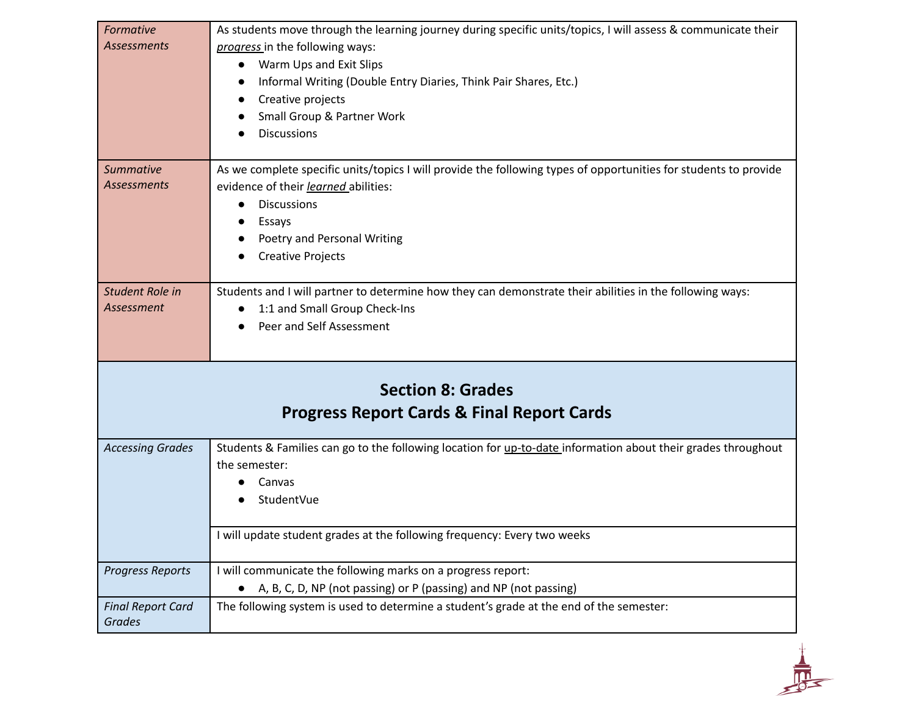| Formative                                 | As students move through the learning journey during specific units/topics, I will assess & communicate their    |
|-------------------------------------------|------------------------------------------------------------------------------------------------------------------|
| <b>Assessments</b>                        | progress in the following ways:                                                                                  |
|                                           | Warm Ups and Exit Slips<br>$\bullet$                                                                             |
|                                           | Informal Writing (Double Entry Diaries, Think Pair Shares, Etc.)                                                 |
|                                           | Creative projects                                                                                                |
|                                           | Small Group & Partner Work                                                                                       |
|                                           | <b>Discussions</b>                                                                                               |
|                                           |                                                                                                                  |
| <b>Summative</b>                          | As we complete specific units/topics I will provide the following types of opportunities for students to provide |
| <b>Assessments</b>                        | evidence of their learned abilities:                                                                             |
|                                           | <b>Discussions</b><br>$\bullet$                                                                                  |
|                                           | Essays                                                                                                           |
|                                           | Poetry and Personal Writing                                                                                      |
|                                           | <b>Creative Projects</b>                                                                                         |
|                                           |                                                                                                                  |
| <b>Student Role in</b>                    | Students and I will partner to determine how they can demonstrate their abilities in the following ways:         |
| Assessment                                | 1:1 and Small Group Check-Ins<br>$\bullet$                                                                       |
|                                           | Peer and Self Assessment                                                                                         |
|                                           |                                                                                                                  |
|                                           |                                                                                                                  |
|                                           | <b>Section 8: Grades</b>                                                                                         |
|                                           |                                                                                                                  |
|                                           | <b>Progress Report Cards &amp; Final Report Cards</b>                                                            |
|                                           |                                                                                                                  |
| <b>Accessing Grades</b>                   | Students & Families can go to the following location for up-to-date information about their grades throughout    |
|                                           | the semester:                                                                                                    |
|                                           | Canvas<br>$\bullet$                                                                                              |
|                                           | StudentVue                                                                                                       |
|                                           | I will update student grades at the following frequency: Every two weeks                                         |
|                                           |                                                                                                                  |
| <b>Progress Reports</b>                   | I will communicate the following marks on a progress report:                                                     |
|                                           | A, B, C, D, NP (not passing) or P (passing) and NP (not passing)                                                 |
| <b>Final Report Card</b><br><b>Grades</b> | The following system is used to determine a student's grade at the end of the semester:                          |